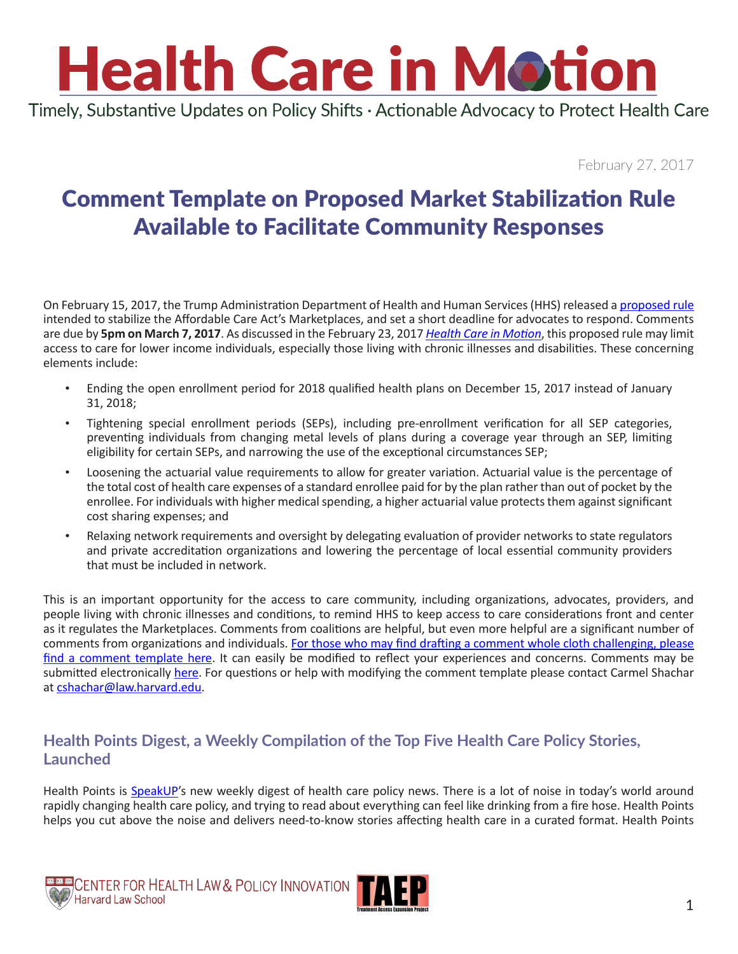# **Health Care in Motion**

Timely, Substantive Updates on Policy Shifts · Actionable Advocacy to Protect Health Care

February 27, 2017

### Comment Template on Proposed Market Stabilization Rule Available to Facilitate Community Responses

On February 15, 2017, the Trump Administration Department of Health and Human Services (HHS) released a [proposed rule](https://www.federalregister.gov/documents/2017/02/17/2017-03027/patient-protection-and-affordable-care-act-market-stabilization#open-comment) intended to stabilize the Affordable Care Act's Marketplaces, and set a short deadline for advocates to respond. Comments are due by **5pm on March 7, 2017**. As discussed in the February 23, 2017 *[Health Care in Motion](http://www.chlpi.org/wp-content/uploads/2013/12/Health-Care-in-Motion_02_23_2017.pdf)*, this proposed rule may limit access to care for lower income individuals, especially those living with chronic illnesses and disabilities. These concerning elements include:

- Ending the open enrollment period for 2018 qualified health plans on December 15, 2017 instead of January 31, 2018;
- Tightening special enrollment periods (SEPs), including pre-enrollment verification for all SEP categories, preventing individuals from changing metal levels of plans during a coverage year through an SEP, limiting eligibility for certain SEPs, and narrowing the use of the exceptional circumstances SEP;
- Loosening the actuarial value requirements to allow for greater variation. Actuarial value is the percentage of the total cost of health care expenses of a standard enrollee paid for by the plan rather than out of pocket by the enrollee. For individuals with higher medical spending, a higher actuarial value protects them against significant cost sharing expenses; and
- Relaxing network requirements and oversight by delegating evaluation of provider networks to state regulators and private accreditation organizations and lowering the percentage of local essential community providers that must be included in network.

This is an important opportunity for the access to care community, including organizations, advocates, providers, and people living with chronic illnesses and conditions, to remind HHS to keep access to care considerations front and center as it regulates the Marketplaces. Comments from coalitions are helpful, but even more helpful are a significant number of comments from organizations and individuals. [For those who may find drafting a comment whole cloth challenging, please](http://www.chlpi.org/download/5446/)  [find a comment template here.](http://www.chlpi.org/download/5446/) It can easily be modified to reflect your experiences and concerns. Comments may be submitted electronically [here](https://www.federalregister.gov/documents/2017/02/17/2017-03027/patient-protection-and-affordable-care-act-market-stabilization#open-comment). For questions or help with modifying the comment template please contact Carmel Shachar at [cshachar@law.harvard.edu](mailto:cshachar@law.harvard.edu).

#### **Health Points Digest, a Weekly Compilation of the Top Five Health Care Policy Stories, Launched**

Health Points is **[SpeakUP](http://speakup.hiv/)'s** new weekly digest of health care policy news. There is a lot of noise in today's world around rapidly changing health care policy, and trying to read about everything can feel like drinking from a fire hose. Health Points helps you cut above the noise and delivers need-to-know stories affecting health care in a curated format. Health Points